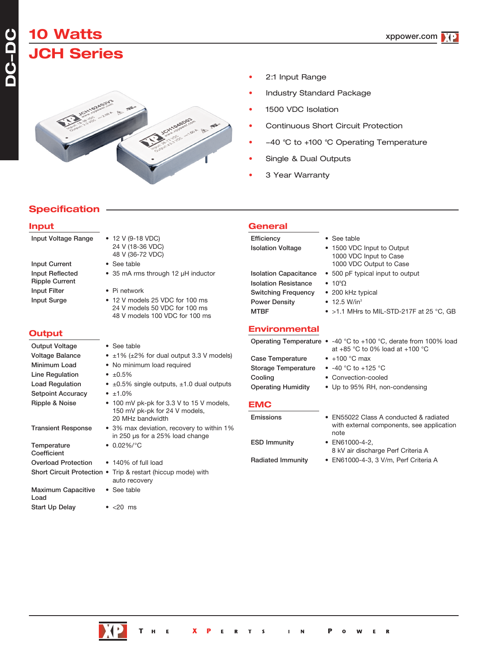# **10 Watts JCH Series**



 $\bullet$  12 V (9-18 VDC) 24 V (18-36 VDC) 48 V (36-72 VDC)

• 35 mA rms through 12 µH inductor

• 12 V models 25 VDC for 100 ms 24 V models 50 VDC for 100 ms 48 V models 100 VDC for 100 ms

• See table

 $\bullet$  Pi network

- 2:1 Input Range
- Industry Standard Package
- 1500 VDC Isolation
- Continuous Short Circuit Protection
- -40 °C to +100 °C Operating Temperature
- Single & Dual Outputs
- 3 Year Warranty

# **Specification**

### **Input**

| Input Voltage Range |
|---------------------|
|                     |

| <b>Input Current</b>  |  |  |  |
|-----------------------|--|--|--|
| Input Reflected       |  |  |  |
| <b>Ripple Current</b> |  |  |  |
| <b>Input Filter</b>   |  |  |  |
| Input Surge           |  |  |  |

## **Output**

| <b>Output Voltage</b>             | • See table                                                                                   |
|-----------------------------------|-----------------------------------------------------------------------------------------------|
| <b>Voltage Balance</b>            | • $\pm$ 1% ( $\pm$ 2% for dual output 3.3 V models)                                           |
| Minimum Load                      | • No minimum load required                                                                    |
| Line Regulation                   | • $\pm 0.5\%$                                                                                 |
| <b>Load Regulation</b>            | • $\pm 0.5\%$ single outputs, $\pm 1.0$ dual outputs                                          |
| <b>Setpoint Accuracy</b>          | • $±1.0\%$                                                                                    |
| Ripple & Noise                    | • 100 mV pk-pk for 3.3 V to 15 V models,<br>150 mV pk-pk for 24 V models,<br>20 MHz bandwidth |
| <b>Transient Response</b>         | • 3% max deviation, recovery to within 1%<br>in 250 µs for a 25% load change                  |
| Temperature<br>Coefficient        | • $0.02\%/°C$                                                                                 |
| <b>Overload Protection</b>        | • 140% of full load                                                                           |
|                                   | Short Circuit Protection • Trip & restart (hiccup mode) with<br>auto recovery                 |
| <b>Maximum Capacitive</b><br>Load | • See table                                                                                   |
| <b>Start Up Delav</b>             | $\bullet$ <20<br>ms                                                                           |

### **General** Efficiency • See table

Isolation Voltage • 1500 VDC Input to Output Isolation Capacitance • 500 pF typical input to output **Isolation Resistance** 

Switching Frequency Power Density • 12.5 W/in<sup>3</sup> MTBF • >1.1 MHrs to MIL-STD-217F at 25 °C, GB

## **Environmental**

|                           | Operating Temperature $\bullet$ -40 °C to +100 °C, derate from 100% load<br>at $+85$ °C to 0% load at $+100$ °C |
|---------------------------|-----------------------------------------------------------------------------------------------------------------|
| Case Temperature          | $\bullet$ +100 °C max                                                                                           |
| Storage Temperature       | • $-40$ °C to $+125$ °C                                                                                         |
| Cooling                   | • Convection-cooled                                                                                             |
| <b>Operating Humidity</b> | • Up to 95% RH, non-condensing                                                                                  |
| <b>EMC</b>                |                                                                                                                 |
| Emissions                 | • FN55022 Class A conducted & radiated                                                                          |

• 10°Ω<br>• 200 kHz typical

1000 VDC Input to Case 1000 VDC Output to Case

ESD Immunity • EN61000-4-2,

note 8 kV air discharge Perf Criteria A

with external components, see application

Radiated Immunity • EN61000-4-3, 3 V/m, Perf Criteria A